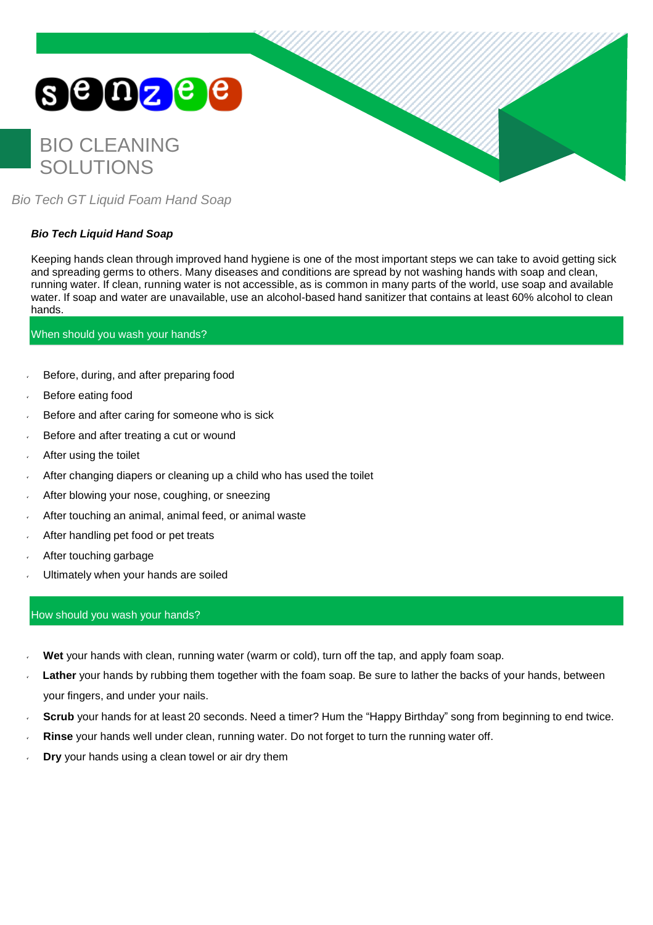# **Senze e**

# BIO CLEANING SOLUTIONS



*Bio Tech GT Liquid Foam Hand Soap*

# *Bio Tech Liquid Hand Soap*

Keeping hands clean through improved hand hygiene is one of the most important steps we can take to avoid getting sick and spreading germs to others. Many diseases and conditions are spread by not washing hands with soap and clean, running water. If clean, running water is not accessible, as is common in many parts of the world, use soap and available water. If soap and water are unavailable, use an alcohol-based hand sanitizer that contains at least 60% alcohol to clean hands.

# When should you wash your hands?

- Before, during, and after preparing food
- Before eating food
- Before and after caring for someone who is sick
- Before and after treating a cut or wound
- After using the toilet
- After changing diapers or cleaning up a child who has used the toilet
- After blowing your nose, coughing, or sneezing
- After touching an animal, animal feed, or animal waste
- After handling pet food or pet treats
- After touching garbage
- Ultimately when your hands are soiled

# How should you wash your hands?

- **Wet** your hands with clean, running water (warm or cold), turn off the tap, and apply foam soap.
- **Lather** your hands by rubbing them together with the foam soap. Be sure to lather the backs of your hands, between your fingers, and under your nails.
- **Scrub** your hands for at least 20 seconds. Need a timer? Hum the "Happy Birthday" song from beginning to end twice.
- **Rinse** your hands well under clean, running water. Do not forget to turn the running water off.
- **Dry** your hands using a clean towel or air dry them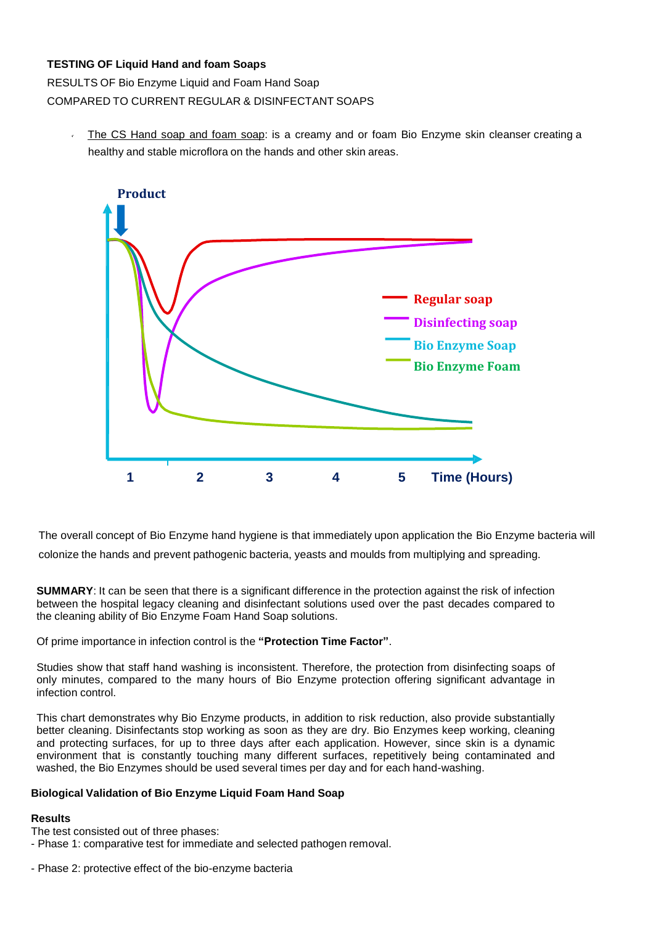# **TESTING OF Liquid Hand and foam Soaps**

RESULTS OF Bio Enzyme Liquid and Foam Hand Soap COMPARED TO CURRENT REGULAR & DISINFECTANT SOAPS

The CS Hand soap and foam soap: is a creamy and or foam Bio Enzyme skin cleanser creating a healthy and stable microflora on the hands and other skin areas.



The overall concept of Bio Enzyme hand hygiene is that immediately upon application the Bio Enzyme bacteria will colonize the hands and prevent pathogenic bacteria, yeasts and moulds from multiplying and spreading.

**SUMMARY:** It can be seen that there is a significant difference in the protection against the risk of infection between the hospital legacy cleaning and disinfectant solutions used over the past decades compared to the cleaning ability of Bio Enzyme Foam Hand Soap solutions.

Of prime importance in infection control is the **"Protection Time Factor"**.

Studies show that staff hand washing is inconsistent. Therefore, the protection from disinfecting soaps of only minutes, compared to the many hours of Bio Enzyme protection offering significant advantage in infection control.

This chart demonstrates why Bio Enzyme products, in addition to risk reduction, also provide substantially better cleaning. Disinfectants stop working as soon as they are dry. Bio Enzymes keep working, cleaning and protecting surfaces, for up to three days after each application. However, since skin is a dynamic environment that is constantly touching many different surfaces, repetitively being contaminated and washed, the Bio Enzymes should be used several times per day and for each hand-washing.

#### **Biological Validation of Bio Enzyme Liquid Foam Hand Soap**

#### **Results**

The test consisted out of three phases:

- Phase 1: comparative test for immediate and selected pathogen removal.
- Phase 2: protective effect of the bio-enzyme bacteria